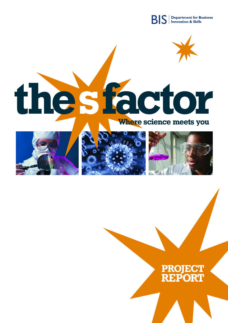

# **thesfactor Where science meets you**







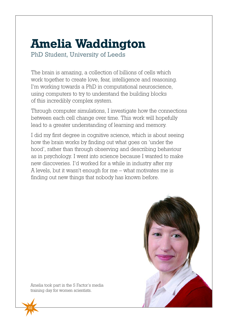# **Amelia Waddington**

PhD Student, University of Leeds

The brain is amazing, a collection of billions of cells which work together to create love, fear, intelligence and reasoning. I'm working towards a PhD in computational neuroscience, using computers to try to understand the building blocks of this incredibly complex system.

Through computer simulations, I investigate how the connections between each cell change over time. This work will hopefully lead to a greater understanding of learning and memory.

I did my first degree in cognitive science, which is about seeing how the brain works by finding out what goes on 'under the hood', rather than through observing and describing behaviour as in psychology. I went into science because I wanted to make new discoveries. I'd worked for a while in industry after my A levels, but it wasn't enough for me – what motivates me is finding out new things that nobody has known before.



Amelia took part in the S Factor's media training day for women scientists.

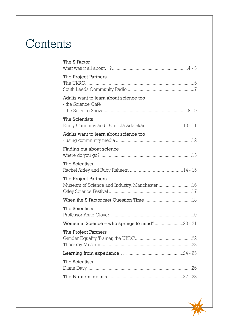# **Contents**

| The S Factor                                                          |
|-----------------------------------------------------------------------|
| The Project Partners                                                  |
| Adults want to learn about science too<br>- the Science Café          |
| The Scientists<br>Emily Cummins and Damilola Adelekan 10 - 11         |
| Adults want to learn about science too                                |
| Finding out about science                                             |
| The Scientists                                                        |
| The Project Partners<br>Museum of Science and Industry, Manchester 16 |
|                                                                       |
| The Scientists                                                        |
| Women in Science - who springs to mind?20 - 21                        |
| The Project Partners                                                  |
|                                                                       |
| The Scientists                                                        |
|                                                                       |

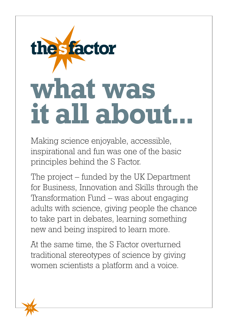

# **what was it all about...**

Making science enjoyable, accessible, inspirational and fun was one of the basic principles behind the S Factor.

The project – funded by the UK Department for Business, Innovation and Skills through the Transformation Fund – was about engaging adults with science, giving people the chance to take part in debates, learning something new and being inspired to learn more.

At the same time, the S Factor overturned traditional stereotypes of science by giving women scientists a platform and a voice.

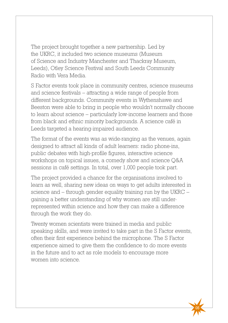The project brought together a new partnership. Led by the UKRC, it included two science museums (Museum of Science and Industry Manchester and Thackray Museum, Leeds), Otley Science Festival and South Leeds Community Radio with Vera Media.

S Factor events took place in community centres, science museums and science festivals – attracting a wide range of people from different backgrounds. Community events in Wythenshawe and Beeston were able to bring in people who wouldn't normally choose to learn about science – particularly low-income learners and those from black and ethnic minority backgrounds. A science café in Leeds targeted a hearing-impaired audience.

The format of the events was as wide-ranging as the venues, again designed to attract all kinds of adult learners: radio phone-ins, public debates with high-profile figures, interactive science workshops on topical issues, a comedy show and science Q&A sessions in café settings. In total, over 1,000 people took part.

The project provided a chance for the organisations involved to learn as well, sharing new ideas on ways to get adults interested in science and – through gender equality training run by the UKRC – gaining a better understanding of why women are still underrepresented within science and how they can make a difference through the work they do.

Twenty women scientists were trained in media and public speaking skills, and were invited to take part in the S Factor events, often their first experience behind the microphone. The S Factor experience aimed to give them the confidence to do more events in the future and to act as role models to encourage more women into science.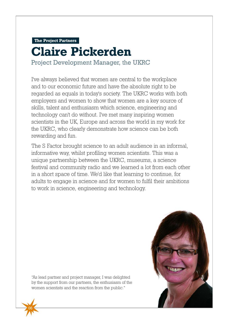#### **The Project Partners**

## **Claire Pickerden**

Project Development Manager, the UKRC

I've always believed that women are central to the workplace and to our economic future and have the absolute right to be regarded as equals in today's society. The UKRC works with both employers and women to show that women are a key source of skills, talent and enthusiasm which science, engineering and technology can't do without. I've met many inspiring women scientists in the UK, Europe and across the world in my work for the UKRC, who clearly demonstrate how science can be both rewarding and fun.

The S Factor brought science to an adult audience in an informal, informative way, whilst profiling women scientists. This was a unique partnership between the UKRC, museums, a science festival and community radio and we learned a lot from each other in a short space of time. We'd like that learning to continue, for adults to engage in science and for women to fulfil their ambitions to work in science, engineering and technology.



"As lead partner and project manager, I was delighted by the support from our partners, the enthusiasm of the women scientists and the reaction from the public."

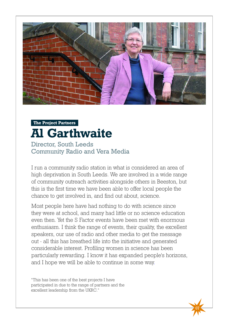

## **Al Garthwaite The Project Partners**

Director, South Leeds Community Radio and Vera Media

I run a community radio station in what is considered an area of high deprivation in South Leeds. We are involved in a wide range of community outreach activities alongside others in Beeston, but this is the first time we have been able to offer local people the chance to get involved in, and find out about, science.

Most people here have had nothing to do with science since they were at school, and many had little or no science education even then. Yet the S Factor events have been met with enormous enthusiasm. I think the range of events, their quality, the excellent speakers, our use of radio and other media to get the message out - all this has breathed life into the initiative and generated considerable interest. Profiling women in science has been particularly rewarding. I know it has expanded people's horizons, and I hope we will be able to continue in some way.

07

"This has been one of the best projects I have participated in due to the range of partners and the excellent leadership from the UKRC."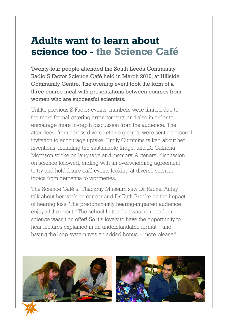## **Adults want to learn about science too - the Science Café**

Twenty-four people attended the South Leeds Community Radio S Factor Science Café held in March 2010, at Hillside Community Centre. The evening event took the form of a three course meal with presentations between courses from women who are successful scientists.

Unlike previous S Factor events, numbers were limited due to the more formal catering arrangements and also in order to encourage more in-depth discussion from the audience. The attendees, from across diverse ethnic groups, were sent a personal invitation to encourage uptake. Emily Cummins talked about her inventions, including the sustainable fridge, and Dr Catriona Morrison spoke on language and memory. A general discussion on science followed, ending with an overwhelming agreement to try and hold future café events looking at diverse science topics from dementia to wormeries.

The Science Café at Thackray Museum saw Dr Rachel Airley talk about her work on cancer and Dr Ruth Brooke on the impact of hearing loss. The predominantly hearing-impaired audience enjoyed the event. 'The school I attended was non-academic – science wasn't on offer! So it's lovely to have the opportunity to hear lectures explained in an understandable format – and having the loop system was an added bonus – more please!'

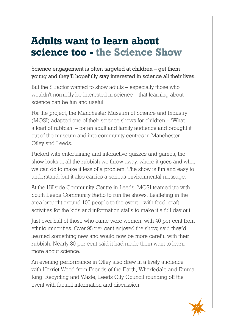## **Adults want to learn about science too - the Science Show**

Science engagement is often targeted at children – get them young and they'll hopefully stay interested in science all their lives.

But the S Factor wanted to show adults – especially those who wouldn't normally be interested in science – that learning about science can be fun and useful.

For the project, the Manchester Museum of Science and Industry (MOSI) adapted one of their science shows for children – 'What a load of rubbish' – for an adult and family audience and brought it out of the museum and into community centres in Manchester, Otley and Leeds.

Packed with entertaining and interactive quizzes and games, the show looks at all the rubbish we throw away, where it goes and what we can do to make it less of a problem. The show is fun and easy to understand, but it also carries a serious environmental message.

At the Hillside Community Centre in Leeds, MOSI teamed up with South Leeds Community Radio to run the shows. Leafleting in the area brought around 100 people to the event – with food, craft activities for the kids and information stalls to make it a full day out.

Just over half of those who came were women, with 40 per cent from ethnic minorities. Over 95 per cent enjoyed the show, said they'd learned something new and would now be more careful with their rubbish. Nearly 80 per cent said it had made them want to learn more about science.

An evening performance in Otley also drew in a lively audience with Harriet Wood from Friends of the Earth, Wharfedale and Emma King, Recycling and Waste, Leeds City Council rounding off the event with factual information and discussion.

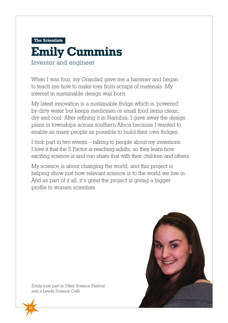## Inventor and engineer **Emily Cummins The Scientists**

When I was four, my Grandad gave me a hammer and began to teach me how to make toys from scraps of materials. My interest in sustainable design was born.

My latest innovation is a sustainable fridge which is 'powered' by dirty water but keeps medicines or small food items clean, dry and cool. After refining it in Namibia, I gave away the design plans in townships across southern Africa because I wanted to enable as many people as possible to build their own fridges.

I took part in two events – talking to people about my inventions. I love it that the S Factor is reaching adults, so they learn how exciting science is and can share that with their children and others.

My science is about changing the world, and this project is helping show just how relevant science is to the world we live in. And as part of it all, it's great the project is giving a bigger profile to women scientists



Emily took part in Otley Science Festival and a Leeds Science Café.

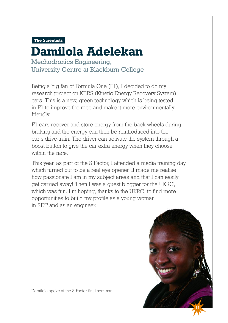**The Scientists**

# **Damilola Adelekan**

Mechodronics Engineering, University Centre at Blackburn College

Being a big fan of Formula One (F1), I decided to do my research project on KERS (Kinetic Energy Recovery System) cars. This is a new, green technology which is being tested in F1 to improve the race and make it more environmentally friendly.

F1 cars recover and store energy from the back wheels during braking and the energy can then be reintroduced into the car's drive-train. The driver can activate the system through a boost button to give the car extra energy when they choose within the race.

This year, as part of the S Factor, I attended a media training day which turned out to be a real eye opener. It made me realise how passionate I am in my subject areas and that I can easily get carried away! Then I was a guest blogger for the UKRC, which was fun. I'm hoping, thanks to the UKRC, to find more opportunities to build my profile as a young woman in SET and as an engineer.



Damilola spoke at the S Factor final seminar.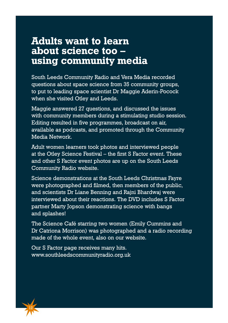## **Adults want to learn about science too – using community media**

South Leeds Community Radio and Vera Media recorded questions about space science from 35 community groups, to put to leading space scientist Dr Maggie Aderin-Pocock when she visited Otley and Leeds.

Maggie answered 27 questions, and discussed the issues with community members during a stimulating studio session. Editing resulted in five programmes, broadcast on air, available as podcasts, and promoted through the Community Media Network.

Adult women learners took photos and interviewed people at the Otley Science Festival – the first S Factor event. These and other S Factor event photos are up on the South Leeds Community Radio website.

Science demonstrations at the South Leeds Christmas Fayre were photographed and filmed, then members of the public, and scientists Dr Liane Benning and Rajni Bhardwaj were interviewed about their reactions. The DVD includes S Factor partner Marty Jopson demonstrating science with bangs and splashes!

The Science Café starring two women (Emily Cummins and Dr Catriona Morrison) was photographed and a radio recording made of the whole event, also on our website.

Our S Factor page receives many hits. www.southleedscommunityradio.org.uk

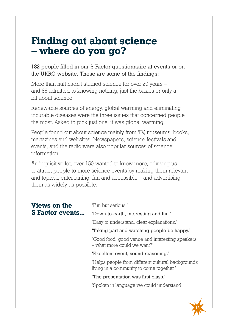## **Finding out about science – where do you go?**

182 people filled in our S Factor questionnaire at events or on the UKRC website. These are some of the findings:

More than half hadn't studied science for over 20 years – and 86 admitted to knowing nothing, just the basics or only a bit about science.

Renewable sources of energy, global warming and eliminating incurable diseases were the three issues that concerned people the most. Asked to pick just one, it was global warming.

People found out about science mainly from TV, museums, books, magazines and websites. Newspapers, science festivals and events, and the radio were also popular sources of science information.

An inquisitive lot, over 150 wanted to know more, advising us to attract people to more science events by making them relevant and topical, entertaining, fun and accessible – and advertising them as widely as possible.

| Views on the           | 'Fun but serious.'                                                                           |
|------------------------|----------------------------------------------------------------------------------------------|
| <b>S</b> Factor events | 'Down-to-earth, interesting and fun.'                                                        |
|                        | 'Easy to understand, clear explanations.'                                                    |
|                        | 'Taking part and watching people be happy.'                                                  |
|                        | 'Good food, good venue and interesting speakers<br>$-$ what more could we want?'             |
|                        | 'Excellent event, sound reasoning.'                                                          |
|                        | 'Helps people from different cultural backgrounds<br>living in a community to come together. |
|                        | 'The presentation was first class.'                                                          |
|                        | 'Spoken in language we could understand.'                                                    |
|                        |                                                                                              |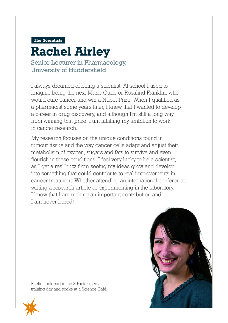#### **The Scientists**

## Senior Lecturer in Pharmacology, University of Huddersfield **Rachel Airley**

I always dreamed of being a scientist. At school I used to imagine being the next Marie Curie or Rosalind Franklin, who would cure cancer and win a Nobel Prize. When I qualified as a pharmacist some years later, I knew that I wanted to develop a career in drug discovery, and although I'm still a long way from winning that prize, I am fulfilling my ambition to work in cancer research.

My research focuses on the unique conditions found in tumour tissue and the way cancer cells adapt and adjust their metabolism of oxygen, sugars and fats to survive and even flourish in these conditions. I feel very lucky to be a scientist, as I get a real buzz from seeing my ideas grow and develop into something that could contribute to real improvements in cancer treatment. Whether attending an international conference, writing a research article or experimenting in the laboratory, I know that I am making an important contribution and I am never bored!



Rachel took part in the S Factor media training day and spoke at a Science Café.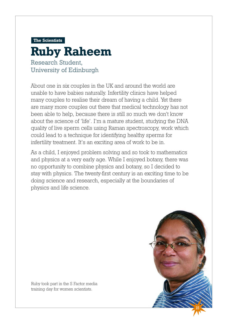#### **The Scientists**

# **Ruby Raheem**

Research Student, University of Edinburgh

About one in six couples in the UK and around the world are unable to have babies naturally. Infertility clinics have helped many couples to realise their dream of having a child. Yet there are many more couples out there that medical technology has not been able to help, because there is still so much we don't know about the science of 'life'. I'm a mature student, studying the DNA quality of live sperm cells using Raman spectroscopy, work which could lead to a technique for identifying healthy sperms for infertility treatment. It's an exciting area of work to be in.

As a child, I enjoyed problem solving and so took to mathematics and physics at a very early age. While I enjoyed botany, there was no opportunity to combine physics and botany, so I decided to stay with physics. The twenty-first century is an exciting time to be doing science and research, especially at the boundaries of physics and life science.



Ruby took part in the S Factor media training day for women scientists.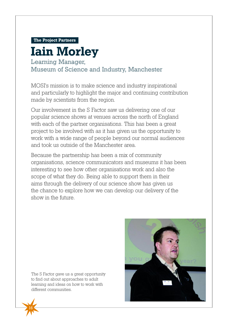**The Project Partners**

## Learning Manager, Museum of Science and Industry, Manchester **Iain Morley**

MOSI's mission is to make science and industry inspirational and particularly to highlight the major and continuing contribution made by scientists from the region.

Our involvement in the S Factor saw us delivering one of our popular science shows at venues across the north of England with each of the partner organisations. This has been a great project to be involved with as it has given us the opportunity to work with a wide range of people beyond our normal audiences and took us outside of the Manchester area.

Because the partnership has been a mix of community organisations, science communicators and museums it has been interesting to see how other organisations work and also the scope of what they do. Being able to support them in their aims through the delivery of our science show has given us the chance to explore how we can develop our delivery of the show in the future.

The S Factor gave us a great opportunity to find out about approaches to adult learning and ideas on how to work with different communities.

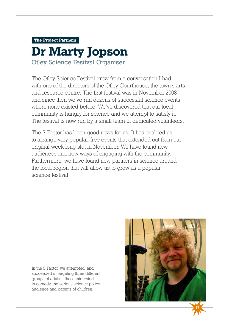#### **The Project Partners**

## Otley Science Festival Organiser **Dr Marty Jopson**

The Otley Science Festival grew from a conversation I had with one of the directors of the Otley Courthouse, the town's arts and resource centre. The first festival was in November 2008 and since then we've run dozens of successful science events where none existed before. We've discovered that our local community is hungry for science and we attempt to satisfy it. The festival is now run by a small team of dedicated volunteers.

The S Factor has been good news for us. It has enabled us to arrange very popular, free events that extended out from our original week-long slot in November. We have found new audiences and new ways of engaging with the community. Furthermore, we have found new partners in science around the local region that will allow us to grow as a popular science festival.

In the S Factor, we attempted, and succeeded in targeting three different groups of adults - those interested in comedy, the serious science policy audience and parents of children.

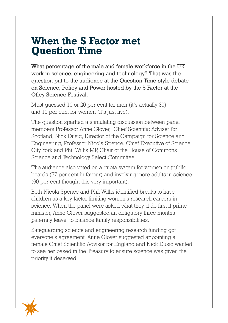## **When the S Factor met Question Time**

What percentage of the male and female workforce in the UK work in science, engineering and technology? That was the question put to the audience at the Question Time-style debate on Science, Policy and Power hosted by the S Factor at the Otley Science Festival.

Most guessed 10 or 20 per cent for men (it's actually 30) and 10 per cent for women (it's just five).

The question sparked a stimulating discussion between panel members Professor Anne Glover, Chief Scientific Adviser for Scotland, Nick Dusic, Director of the Campaign for Science and Engineering, Professor Nicola Spence, Chief Executive of Science City York and Phil Willis MP, Chair of the House of Commons Science and Technology Select Committee.

The audience also voted on a quota system for women on public boards (57 per cent in favour) and involving more adults in science (60 per cent thought this very important).

Both Nicola Spence and Phil Willis identified breaks to have children as a key factor limiting women's research careers in science. When the panel were asked what they'd do first if prime minister. Anne Glover suggested an obligatory three months paternity leave, to balance family responsibilities.

Safeguarding science and engineering research funding got everyone's agreement. Anne Glover suggested appointing a female Chief Scientific Advisor for England and Nick Dusic wanted to see her based in the Treasury to ensure science was given the priority it deserved.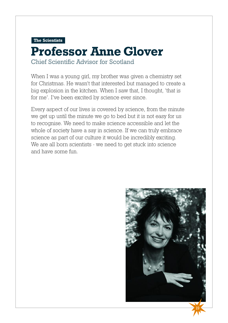**The Scientists**

## Chief Scientific Advisor for Scotland **Professor Anne Glover**

When I was a young girl, my brother was given a chemistry set for Christmas. He wasn't that interested but managed to create a big explosion in the kitchen. When I saw that, I thought, 'that is for me'. I've been excited by science ever since.

Every aspect of our lives is covered by science, from the minute we get up until the minute we go to bed but it is not easy for us to recognise. We need to make science accessible and let the whole of society have a say in science. If we can truly embrace science as part of our culture it would be incredibly exciting. We are all born scientists - we need to get stuck into science and have some fun.

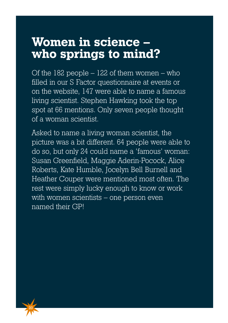## **Women in science – who springs to mind?**

Of the 182 people – 122 of them women – who filled in our S Factor questionnaire at events or on the website, 147 were able to name a famous living scientist. Stephen Hawking took the top spot at 66 mentions. Only seven people thought of a woman scientist.

Asked to name a living woman scientist, the picture was a bit different. 64 people were able to do so, but only 24 could name a 'famous' woman: Susan Greenfield, Maggie Aderin-Pocock, Alice Roberts, Kate Humble, Jocelyn Bell Burnell and Heather Couper were mentioned most often. The rest were simply lucky enough to know or work with women scientists – one person even named their GP!

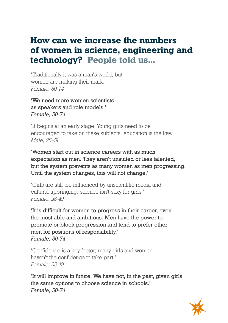## **How can we increase the numbers of women in science, engineering and technology? People told us...**

'Traditionally it was a man's world, but women are making their mark.' *Female, 50-74*

'We need more women scientists as speakers and role models.' *Female, 50-74*

'It begins at an early stage. Young girls need to be encouraged to take on these subjects; education is the key.' *Male, 25-49*

'Women start out in science careers with as much expectation as men. They aren't unsuited or less talented, but the system prevents as many women as men progressing. Until the system changes, this will not change.'

'Girls are still too influenced by unscientific media and cultural upbringing: science isn't sexy for girls.' *Female, 25-49*

'It is difficult for women to progress in their career, even the most able and ambitious. Men have the power to promote or block progression and tend to prefer other men for positions of responsibility.' *Female, 50-74*

'Confidence is a key factor; many girls and women haven't the confidence to take part.' *Female, 25-49*

'It will improve in future! We have not, in the past, given girls the same options to choose science in schools.' *Female, 50-74*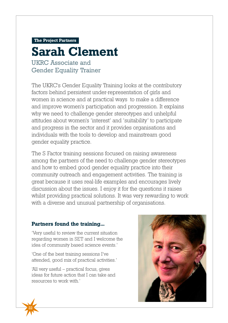**The Project Partners**

# **Sarah Clement**

UKRC Associate and Gender Equality Trainer

The UKRC's Gender Equality Training looks at the contributory factors behind persistent under-representation of girls and women in science and at practical ways to make a difference and improve women's participation and progression. It explains why we need to challenge gender stereotypes and unhelpful attitudes about women's 'interest' and 'suitability' to participate and progress in the sector and it provides organisations and individuals with the tools to develop and mainstream good gender equality practice.

The S Factor training sessions focused on raising awareness among the partners of the need to challenge gender stereotypes and how to embed good gender equality practice into their community outreach and engagement activities. The training is great because it uses real-life examples and encourages lively discussion about the issues. I enjoy it for the questions it raises whilst providing practical solutions. It was very rewarding to work with a diverse and unusual partnership of organisations.

#### **Partners found the training...**

'Very useful to review the current situation regarding women in SET and I welcome the idea of community based science events.'

'One of the best training sessions I've attended, good mix of practical activities.'

'All very useful – practical focus, gives ideas for future action that I can take and resources to work with.'



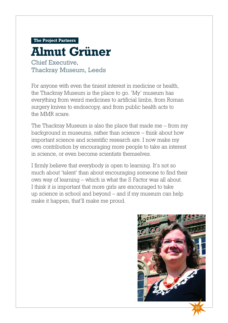**The Project Partners**

Chief Executive, Thackray Museum, Leeds **Almut Grüner**

For anyone with even the tiniest interest in medicine or health, the Thackray Museum is the place to go. 'My' museum has everything from weird medicines to artificial limbs, from Roman surgery knives to endoscopy, and from public health acts to the MMR scare.

The Thackray Museum is also the place that made me – from my background in museums, rather than science – think about how important science and scientific research are. I now make my own contribution by encouraging more people to take an interest in science, or even become scientists themselves.

I firmly believe that everybody is open to learning. It's not so much about 'talent' than about encouraging someone to find their own way of learning – which is what the S Factor was all about. I think it is important that more girls are encouraged to take up science in school and beyond – and if my museum can help make it happen, that'll make me proud.

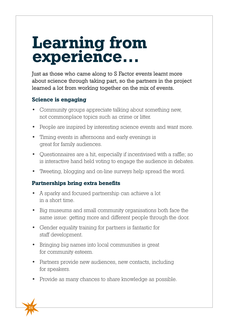# **Learning from experience…**

Just as those who came along to S Factor events learnt more about science through taking part, so the partners in the project learned a lot from working together on the mix of events.

### **Science is engaging**

24

- Community groups appreciate talking about something new, not commonplace topics such as crime or litter.
- People are inspired by interesting science events and want more.
- Timing events in afternoons and early evenings is great for family audiences.
- Questionnaires are a hit, especially if incentivised with a raffle; so is interactive hand held voting to engage the audience in debates.
- Tweeting, blogging and on-line surveys help spread the word.

### **Partnerships bring extra benefits**

- A sparky and focused partnership can achieve a lot in a short time.
- Big museums and small community organisations both face the same issue: getting more and different people through the door.
- Gender equality training for partners is fantastic for staff development.
- Bringing big names into local communities is great for community esteem.
- Partners provide new audiences, new contacts, including for speakers.
- Provide as many chances to share knowledge as possible.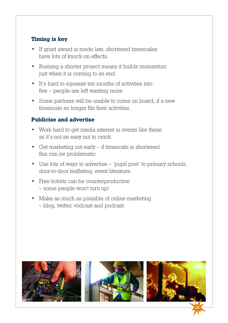### **Timing is key**

- If grant award is made late, shortened timescales have lots of knock-on effects.
- Running a shorter project means it builds momentum just when it is coming to an end.
- It's hard to squeeze ten months of activities into five – people are left wanting more.
- Some partners will be unable to come on board, if a new timescale no longer fits their activities.

### **Publicise and advertise**

- Work hard to get media interest in events like these as it's not an easy nut to crack.
- Get marketing out early if timescale is shortened this can be problematic.
- Use lots of ways to advertise 'pupil post' to primary schools, door-to-door leafleting, event literature
- Free tickets can be counterproductive – some people won't turn up!
- Make as much as possible of online marketing – blog, twitter, vodcast and podcast.

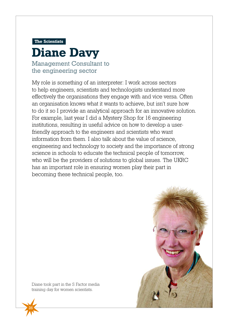#### **The Scientists**

## Management Consultant to the engineering sector **Diane Davy**

My role is something of an interpreter: I work across sectors to help engineers, scientists and technologists understand more effectively the organisations they engage with and vice versa. Often an organisation knows what it wants to achieve, but isn't sure how to do it so I provide an analytical approach for an innovative solution. For example, last year I did a Mystery Shop for 16 engineering institutions, resulting in useful advice on how to develop a userfriendly approach to the engineers and scientists who want information from them. I also talk about the value of science, engineering and technology to society and the importance of strong science in schools to educate the technical people of tomorrow, who will be the providers of solutions to global issues. The UKRC has an important role in ensuring women play their part in becoming these technical people, too.



Diane took part in the S Factor media training day for women scientists.

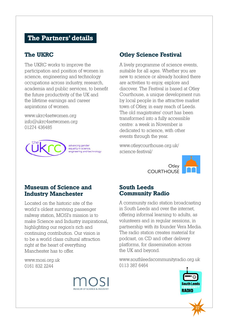## **The Partners' details**

### **The UKRC**

The UKRC works to improve the participation and position of women in science, engineering and technology occupations across industry, research, academia and public services, to benefit the future productivity of the UK and the lifetime earnings and career aspirations of women.

www.ukrc4setwomen.org info@ukrc4setwomen.org 01274 436485



advancing gende equality in science, angineering and technology

## **Otley Science Festival**

A lively programme of science events, suitable for all ages. Whether you are new to science or already hooked there are activities to enjoy, explore and discover. The Festival is based at Otley Courthouse, a unique development run by local people in the attractive market town of Otley, in easy reach of Leeds. The old magistrates' court has been transformed into a fully accessible centre: a week in November is dedicated to science, with other events through the year.

www.otleycourthouse.org.uk/ science-festival/



#### **Museum of Science and Industry Manchester**

Located on the historic site of the world's oldest surviving passenger railway station, MOSI's mission is to make Science and Industry inspirational, highlighting our region's rich and continuing contribution. Our vision is to be a world class cultural attraction right at the heart of everything Manchester has to offer.

#### www.mosi.org.uk 0161 832 2244



#### **South Leeds Community Radio**

A community radio station broadcasting in South Leeds and over the internet, offering informal learning to adults, as volunteers and in regular sessions, in partnership with its founder Vera Media. The radio station creates material for podcast, on CD and other delivery platforms, for dissemination across the UK and beyond.

www.southleedscommunityradio.org.uk 0113 387 6464